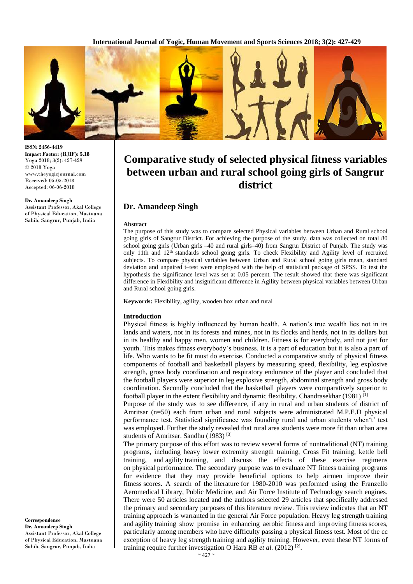

**ISSN: 2456-4419 Impact Factor: (RJIF): 5.18** Yoga 2018; 3(2): 427-429 © 2018 Yoga www.theyogicjournal.com Received: 05-05-2018 Accepted: 06-06-2018

#### **Dr. Amandeep Singh**

Assistant Professor, Akal College of Physical Education, Mastuana Sahib, Sangrur, Punjab, India

**Comparative study of selected physical fitness variables between urban and rural school going girls of Sangrur district**

## **Dr. Amandeep Singh**

#### **Abstract**

The purpose of this study was to compare selected Physical variables between Urban and Rural school going girls of Sangrur District. For achieving the purpose of the study, data was collected on total 80 school going girls (Urban girls –40 and rural girls–40) from Sangrur District of Punjab. The study was only 11th and 12<sup>th</sup> standards school going girls. To check Flexibility and Agility level of recruited subjects. To compare physical variables between Urban and Rural school going girls mean, standard deviation and unpaired t–test were employed with the help of statistical package of SPSS. To test the hypothesis the significance level was set at 0.05 percent. The result showed that there was significant difference in Flexibility and insignificant difference in Agility between physical variables between Urban and Rural school going girls.

**Keywords:** Flexibility, agility, wooden box urban and rural

### **Introduction**

Physical fitness is highly influenced by human health. A nation's true wealth lies not in its lands and waters, not in its forests and mines, not in its flocks and herds, not in its dollars but in its healthy and happy men, women and children. Fitness is for everybody, and not just for youth. This makes fitness everybody's business. It is a part of education but it is also a part of life. Who wants to be fit must do exercise. Conducted a comparative study of physical fitness components of football and basketball players by measuring speed, flexibility, leg explosive strength, gross body coordination and respiratory endurance of the player and concluded that the football players were superior in leg explosive strength, abdominal strength and gross body coordination. Secondly concluded that the basketball players were comparatively superior to football player in the extent flexibility and dynamic flexibility. Chandrasekhar (1981)<sup>[1]</sup>

Purpose of the study was to see difference, if any in rural and urban students of district of Amritsar (n=50) each from urban and rural subjects were administrated M.P.E.D physical performance test. Statistical significance was founding rural and urban students when't' test was employed. Further the study revealed that rural area students were more fit than urban area students of Amritsar. Sandhu (1983) [3]

The primary purpose of this effort was to review several forms of nontraditional (NT) training programs, including heavy lower extremity strength training, Cross Fit training, kettle bell training, and agility training, and discuss the effects of these exercise regimens on physical performance. The secondary purpose was to evaluate NT fitness training programs for evidence that they may provide beneficial options to help airmen improve their fitness scores. A search of the literature for 1980-2010 was performed using the Franzello Aeromedical Library, Public Medicine, and Air Force Institute of Technology search engines. There were 50 articles located and the authors selected 29 articles that specifically addressed the primary and secondary purposes of this literature review. This review indicates that an NT training approach is warranted in the general Air Force population. Heavy leg strength training and agility training show promise in enhancing aerobic fitness and improving fitness scores, particularly among members who have difficulty passing a physical fitness test. Most of the cc exception of heavy leg strength training and agility training. However, even these NT forms of training require further investigation O Hara RB et al. (2012)<sup>[2]</sup>.

**Correspondence Dr. Amandeep Singh**  Assistant Professor, Akal College of Physical Education, Mastuana Sahib, Sangrur, Punjab, India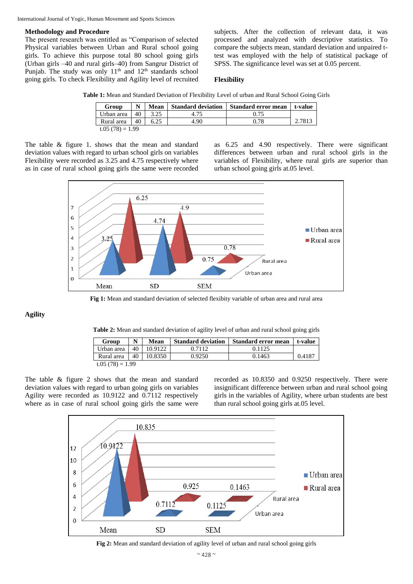International Journal of Yogic, Human Movement and Sports Sciences

### **Methodology and Procedure**

The present research was entitled as "Comparison of selected Physical variables between Urban and Rural school going girls. To achieve this purpose total 80 school going girls (Urban girls –40 and rural girls–40) from Sangrur District of Punjab. The study was only  $11<sup>th</sup>$  and  $12<sup>th</sup>$  standards school going girls. To check Flexibility and Agility level of recruited

subjects. After the collection of relevant data, it was processed and analyzed with descriptive statistics. To compare the subjects mean, standard deviation and unpaired ttest was employed with the help of statistical package of SPSS. The significance level was set at 0.05 percent.

### **Flexibility**

**Table 1:** Mean and Standard Deviation of Flexibility Level of urban and Rural School Going Girls

| Group             |    | Mean |      | Standard deviation Standard error mean | t-value |  |  |  |
|-------------------|----|------|------|----------------------------------------|---------|--|--|--|
| Urban area        | 40 | 3.25 | 4.75 |                                        |         |  |  |  |
| Rural area        | 40 |      | 4.90 | 0.78                                   | 2.7813  |  |  |  |
| $t.05(78) = 1.99$ |    |      |      |                                        |         |  |  |  |

The table & figure 1. shows that the mean and standard deviation values with regard to urban school girls on variables Flexibility were recorded as 3.25 and 4.75 respectively where as in case of rural school going girls the same were recorded

as 6.25 and 4.90 respectively. There were significant differences between urban and rural school girls in the variables of Flexibility, where rural girls are superior than urban school going girls at.05 level.



**Fig 1:** Mean and standard deviation of selected flexibity variable of urban area and rural area

## **Agility**

**Table 2:** Mean and standard deviation of agility level of urban and rural school going girls

| Group              | N  | Mean    | <b>Standard deviation</b> | <b>Standard error mean</b> | t-value |  |  |  |
|--------------------|----|---------|---------------------------|----------------------------|---------|--|--|--|
| Urban area         | 40 | 10.9122 | 0.7112                    | 0.1125                     |         |  |  |  |
| Rural area         | 40 | 10.8350 | 0.9250                    | 0.1463                     | 0.4187  |  |  |  |
| t.05 $(78) = 1.99$ |    |         |                           |                            |         |  |  |  |

The table & figure 2 shows that the mean and standard deviation values with regard to urban going girls on variables Agility were recorded as 10.9122 and 0.7112 respectively where as in case of rural school going girls the same were recorded as 10.8350 and 0.9250 respectively. There were insignificant difference between urban and rural school going girls in the variables of Agility, where urban students are best than rural school going girls at.05 level.



**Fig 2:** Mean and standard deviation of agility level of urban and rural school going girls